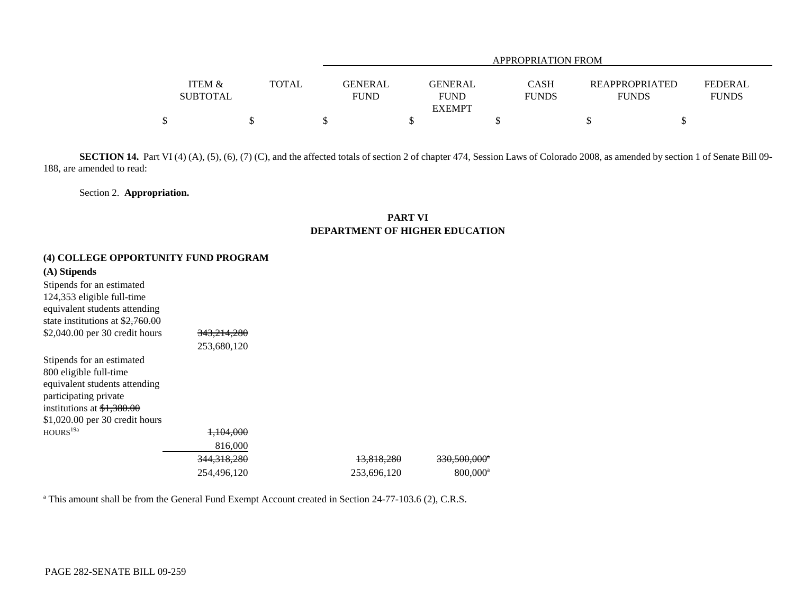|                                      |       |                        | APPROPRIATION FROM     |                             |                                       |                                |  |  |  |  |
|--------------------------------------|-------|------------------------|------------------------|-----------------------------|---------------------------------------|--------------------------------|--|--|--|--|
| <b>ITEM &amp;</b><br><b>SUBTOTAL</b> | TOTAL | GENERAL<br><b>FUND</b> | GENERAL<br><b>FUND</b> | <b>CASH</b><br><b>FUNDS</b> | <b>REAPPROPRIATED</b><br><b>FUNDS</b> | <b>FEDERAL</b><br><b>FUNDS</b> |  |  |  |  |
|                                      |       |                        | <b>EXEMPT</b>          |                             |                                       |                                |  |  |  |  |
|                                      |       |                        |                        |                             |                                       |                                |  |  |  |  |

SECTION 14. Part VI (4) (A), (5), (6), (7) (C), and the affected totals of section 2 of chapter 474, Session Laws of Colorado 2008, as amended by section 1 of Senate Bill 09-188, are amended to read:

Section 2. **Appropriation.**

### **PART VI DEPARTMENT OF HIGHER EDUCATION**

## **(4) COLLEGE OPPORTUNITY FUND PROGRAM**

| (A) Stipends                               |                        |             |                          |
|--------------------------------------------|------------------------|-------------|--------------------------|
| Stipends for an estimated                  |                        |             |                          |
| 124,353 eligible full-time                 |                        |             |                          |
| equivalent students attending              |                        |             |                          |
| state institutions at $\frac{2,760.00}{2}$ |                        |             |                          |
| \$2,040.00 per 30 credit hours             | <del>343,214,280</del> |             |                          |
|                                            | 253,680,120            |             |                          |
| Stipends for an estimated                  |                        |             |                          |
| 800 eligible full-time                     |                        |             |                          |
| equivalent students attending              |                        |             |                          |
| participating private                      |                        |             |                          |
| institutions at $\frac{$1,380.00}{1}$      |                        |             |                          |
| $$1,020.00$ per 30 credit hours            |                        |             |                          |
| HOURS <sup>19a</sup>                       | <del>1,104,000</del>   |             |                          |
|                                            | 816,000                |             |                          |
|                                            | 344, 318, 280          | 13,818,280  | 330,500,000 <sup>*</sup> |
|                                            | 254,496,120            | 253,696,120 | $800,000^a$              |

<sup>a</sup> This amount shall be from the General Fund Exempt Account created in Section 24-77-103.6 (2), C.R.S.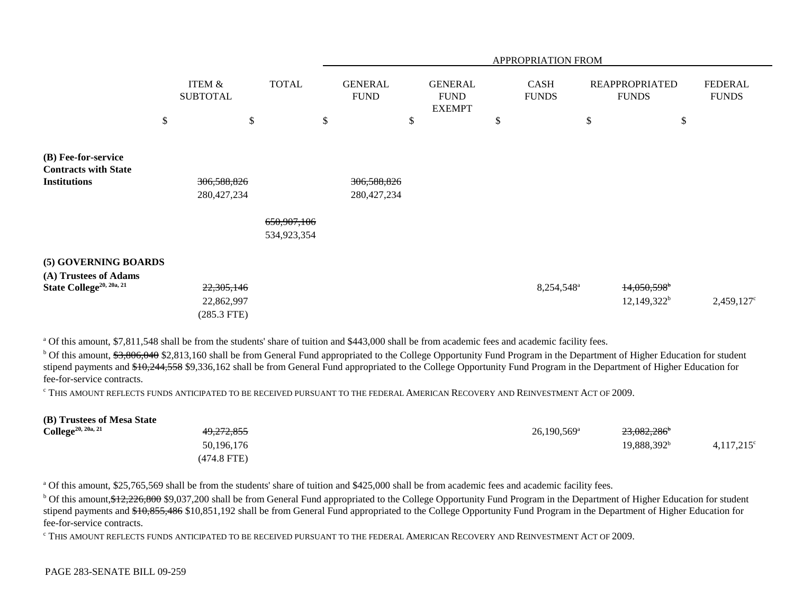|                                                                                       |                                             |              | APPROPRIATION FROM |                               |    |                                                |               |                             |    |                                             |                                |
|---------------------------------------------------------------------------------------|---------------------------------------------|--------------|--------------------|-------------------------------|----|------------------------------------------------|---------------|-----------------------------|----|---------------------------------------------|--------------------------------|
|                                                                                       | <b>ITEM &amp;</b><br><b>SUBTOTAL</b>        | <b>TOTAL</b> |                    | <b>GENERAL</b><br><b>FUND</b> |    | <b>GENERAL</b><br><b>FUND</b><br><b>EXEMPT</b> |               | <b>CASH</b><br><b>FUNDS</b> |    | <b>REAPPROPRIATED</b><br><b>FUNDS</b>       | <b>FEDERAL</b><br><b>FUNDS</b> |
|                                                                                       | \$                                          | \$           | \$                 |                               | \$ |                                                | $\mathcal{S}$ |                             | \$ | \$                                          |                                |
| (B) Fee-for-service<br><b>Contracts with State</b><br><b>Institutions</b>             | 306,588,826<br>280,427,234                  | 650,907,106  |                    | 306,588,826<br>280, 427, 234  |    |                                                |               |                             |    |                                             |                                |
|                                                                                       |                                             | 534,923,354  |                    |                               |    |                                                |               |                             |    |                                             |                                |
| (5) GOVERNING BOARDS<br>(A) Trustees of Adams<br>State College <sup>20, 20a, 21</sup> | 22, 305, 146<br>22,862,997<br>$(285.3$ FTE) |              |                    |                               |    |                                                |               | 8,254,548 <sup>a</sup>      |    | $14,050,598$ <sup>b</sup><br>$12,149,322^b$ | $2,459,127$ °                  |

<sup>a</sup> Of this amount, \$7,811,548 shall be from the students' share of tuition and \$443,000 shall be from academic fees and academic facility fees.

<sup>b</sup> Of this amount, \$3,806,040 \$2,813,160 shall be from General Fund appropriated to the College Opportunity Fund Program in the Department of Higher Education for student stipend payments and \$10,244,558 \$9,336,162 shall be from General Fund appropriated to the College Opportunity Fund Program in the Department of Higher Education for fee-for-service contracts.

c THIS AMOUNT REFLECTS FUNDS ANTICIPATED TO BE RECEIVED PURSUANT TO THE FEDERAL AMERICAN RECOVERY AND REINVESTMENT ACT OF 2009.

| (B) Trustees of Mesa State            |                       |                         |                         |                     |
|---------------------------------------|-----------------------|-------------------------|-------------------------|---------------------|
| <b>College</b> <sup>20, 20a, 21</sup> | <del>49,272,855</del> | $26.190.569^{\text{a}}$ | 23,082,286 <sup>b</sup> |                     |
|                                       | 50,196,176            |                         | 19.888.392 <sup>b</sup> | $4,117,215^{\circ}$ |
|                                       | $(474.8$ FTE)         |                         |                         |                     |

<sup>a</sup> Of this amount, \$25,765,569 shall be from the students' share of tuition and \$425,000 shall be from academic fees and academic facility fees.

<sup>b</sup> Of this amount, \$12,226,800 \$9,037,200 shall be from General Fund appropriated to the College Opportunity Fund Program in the Department of Higher Education for student stipend payments and \$10,855,486 \$10,851,192 shall be from General Fund appropriated to the College Opportunity Fund Program in the Department of Higher Education for fee-for-service contracts.

c THIS AMOUNT REFLECTS FUNDS ANTICIPATED TO BE RECEIVED PURSUANT TO THE FEDERAL AMERICAN RECOVERY AND REINVESTMENT ACT OF 2009.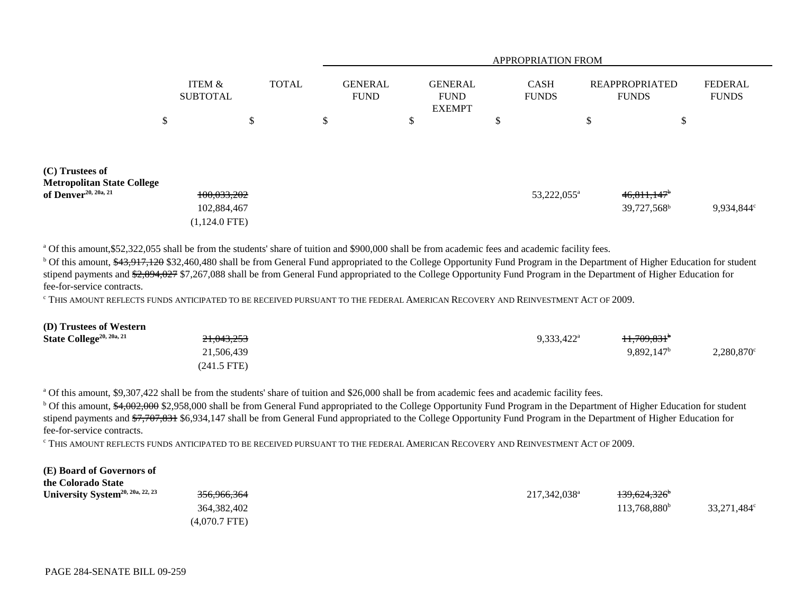|                                                                       |    |                                               |    |  | <b>APPROPRIATION FROM</b> |                               |    |                                                |    |                             |    |                                                      |                                |
|-----------------------------------------------------------------------|----|-----------------------------------------------|----|--|---------------------------|-------------------------------|----|------------------------------------------------|----|-----------------------------|----|------------------------------------------------------|--------------------------------|
|                                                                       |    | ITEM &<br><b>SUBTOTAL</b>                     |    |  | <b>TOTAL</b>              | <b>GENERAL</b><br><b>FUND</b> |    | <b>GENERAL</b><br><b>FUND</b><br><b>EXEMPT</b> |    | <b>CASH</b><br><b>FUNDS</b> |    | <b>REAPPROPRIATED</b><br><b>FUNDS</b>                | <b>FEDERAL</b><br><b>FUNDS</b> |
|                                                                       | \$ |                                               | \$ |  | \$                        |                               | \$ |                                                | \$ |                             | \$ | \$                                                   |                                |
|                                                                       |    |                                               |    |  |                           |                               |    |                                                |    |                             |    |                                                      |                                |
| (C) Trustees of                                                       |    |                                               |    |  |                           |                               |    |                                                |    |                             |    |                                                      |                                |
| <b>Metropolitan State College</b><br>of Denver <sup>20, 20a, 21</sup> |    | 100,033,202<br>102,884,467<br>$(1,124.0$ FTE) |    |  |                           |                               |    |                                                |    | 53,222,055 <sup>a</sup>     |    | $46,811,147$ <sup>b</sup><br>39,727,568 <sup>b</sup> | 9,934,844°                     |

<sup>a</sup> Of this amount, \$52,322,055 shall be from the students' share of tuition and \$900,000 shall be from academic fees and academic facility fees.

<sup>b</sup> Of this amount, \$43,917,120 \$32,460,480 shall be from General Fund appropriated to the College Opportunity Fund Program in the Department of Higher Education for student stipend payments and \$2,894,027 \$7,267,088 shall be from General Fund appropriated to the College Opportunity Fund Program in the Department of Higher Education for fee-for-service contracts.

c THIS AMOUNT REFLECTS FUNDS ANTICIPATED TO BE RECEIVED PURSUANT TO THE FEDERAL AMERICAN RECOVERY AND REINVESTMENT ACT OF 2009.

| (D) Trustees of Western              |                       |                          |                                    |                     |
|--------------------------------------|-----------------------|--------------------------|------------------------------------|---------------------|
| State College <sup>20, 20a, 21</sup> | <del>21,043,253</del> | $9.333.422^{\mathrm{a}}$ | <del>11,709,831</del> <sup>b</sup> |                     |
|                                      | 21,506,439            |                          | $9,892,147^{\rm b}$                | $2,280,870^{\circ}$ |
|                                      | $(241.5$ FTE)         |                          |                                    |                     |

<sup>a</sup> Of this amount, \$9,307,422 shall be from the students' share of tuition and \$26,000 shall be from academic fees and academic facility fees.

<sup>b</sup> Of this amount, \$4,002,000 \$2,958,000 shall be from General Fund appropriated to the College Opportunity Fund Program in the Department of Higher Education for student stipend payments and \$7,707,831 \$6,934,147 shall be from General Fund appropriated to the College Opportunity Fund Program in the Department of Higher Education for fee-for-service contracts.

c THIS AMOUNT REFLECTS FUNDS ANTICIPATED TO BE RECEIVED PURSUANT TO THE FEDERAL AMERICAN RECOVERY AND REINVESTMENT ACT OF 2009.

#### **(E) Board of Governors of**

| the Colorado State                           |                        |                          |                                     |             |
|----------------------------------------------|------------------------|--------------------------|-------------------------------------|-------------|
| University System <sup>20, 20a, 22, 23</sup> | <del>356,966,364</del> | 217.342.038 <sup>a</sup> | <del>139,624,326</del> <sup>b</sup> |             |
|                                              | 364,382,402            |                          | 113.768.880 <sup>b</sup>            | 33,271,484° |
|                                              | $(4,070.7$ FTE)        |                          |                                     |             |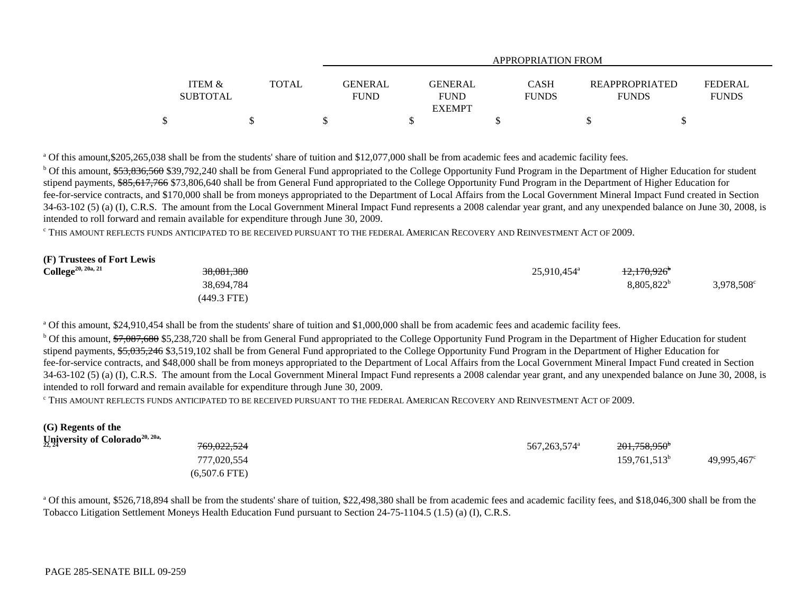|                                      |              | <b>APPROPRIATION FROM</b>     |                               |                             |                                       |                                |  |  |  |
|--------------------------------------|--------------|-------------------------------|-------------------------------|-----------------------------|---------------------------------------|--------------------------------|--|--|--|
| <b>ITEM &amp;</b><br><b>SUBTOTAL</b> | <b>TOTAL</b> | <b>GENERAL</b><br><b>FUND</b> | <b>GENERAL</b><br><b>FUND</b> | <b>CASH</b><br><b>FUNDS</b> | <b>REAPPROPRIATED</b><br><b>FUNDS</b> | <b>FEDERAL</b><br><b>FUNDS</b> |  |  |  |
|                                      |              |                               | <b>EXEMPT</b>                 |                             |                                       |                                |  |  |  |
|                                      |              |                               |                               |                             |                                       |                                |  |  |  |

<sup>a</sup> Of this amount, \$205,265,038 shall be from the students' share of tuition and \$12,077,000 shall be from academic fees and academic facility fees.

<sup>b</sup> Of this amount, \$53,836,560 \$39,792,240 shall be from General Fund appropriated to the College Opportunity Fund Program in the Department of Higher Education for student stipend payments, \$85,617,766 \$73,806,640 shall be from General Fund appropriated to the College Opportunity Fund Program in the Department of Higher Education for fee-for-service contracts, and \$170,000 shall be from moneys appropriated to the Department of Local Affairs from the Local Government Mineral Impact Fund created in Section 34-63-102 (5) (a) (I), C.R.S. The amount from the Local Government Mineral Impact Fund represents a 2008 calendar year grant, and any unexpended balance on June 30, 2008, is intended to roll forward and remain available for expenditure through June 30, 2009.

c THIS AMOUNT REFLECTS FUNDS ANTICIPATED TO BE RECEIVED PURSUANT TO THE FEDERAL AMERICAN RECOVERY AND REINVESTMENT ACT OF 2009.

#### **(F) Trustees of Fort Lewis**

| $\text{College}^{20, 20a, 21}$ | <del>38,081,380</del> | 25,910,454 <sup>a</sup> | <del>12,170,926</del> * |            |
|--------------------------------|-----------------------|-------------------------|-------------------------|------------|
|                                | 38.694.784            |                         | 8,805,822 <sup>b</sup>  | 3,978,508° |
|                                | $(449.3$ FTE)         |                         |                         |            |

<sup>a</sup> Of this amount, \$24,910,454 shall be from the students' share of tuition and \$1,000,000 shall be from academic fees and academic facility fees.

<sup>b</sup> Of this amount, \$7,087,680 \$5,238,720 shall be from General Fund appropriated to the College Opportunity Fund Program in the Department of Higher Education for student stipend payments, \$5,035,246 \$3,519,102 shall be from General Fund appropriated to the College Opportunity Fund Program in the Department of Higher Education for fee-for-service contracts, and \$48,000 shall be from moneys appropriated to the Department of Local Affairs from the Local Government Mineral Impact Fund created in Section 34-63-102 (5) (a) (I), C.R.S. The amount from the Local Government Mineral Impact Fund represents a 2008 calendar year grant, and any unexpended balance on June 30, 2008, is intended to roll forward and remain available for expenditure through June 30, 2009.

c THIS AMOUNT REFLECTS FUNDS ANTICIPATED TO BE RECEIVED PURSUANT TO THE FEDERAL AMERICAN RECOVERY AND REINVESTMENT ACT OF 2009.

| (G) Regents of the                         |                        |                            |                          |             |
|--------------------------------------------|------------------------|----------------------------|--------------------------|-------------|
| University of Colorado <sup>20, 20a,</sup> |                        |                            |                          |             |
|                                            | <del>769,022,524</del> | 567, 263, 574 <sup>a</sup> | 201,758,950 <sup>b</sup> |             |
|                                            | 777,020,554            |                            | $159,761,513^b$          | 49.995.467° |
|                                            | $(6,507.6$ FTE)        |                            |                          |             |

<sup>a</sup> Of this amount, \$526,718,894 shall be from the students' share of tuition, \$22,498,380 shall be from academic fees and academic facility fees, and \$18,046,300 shall be from the Tobacco Litigation Settlement Moneys Health Education Fund pursuant to Section 24-75-1104.5 (1.5) (a) (I), C.R.S.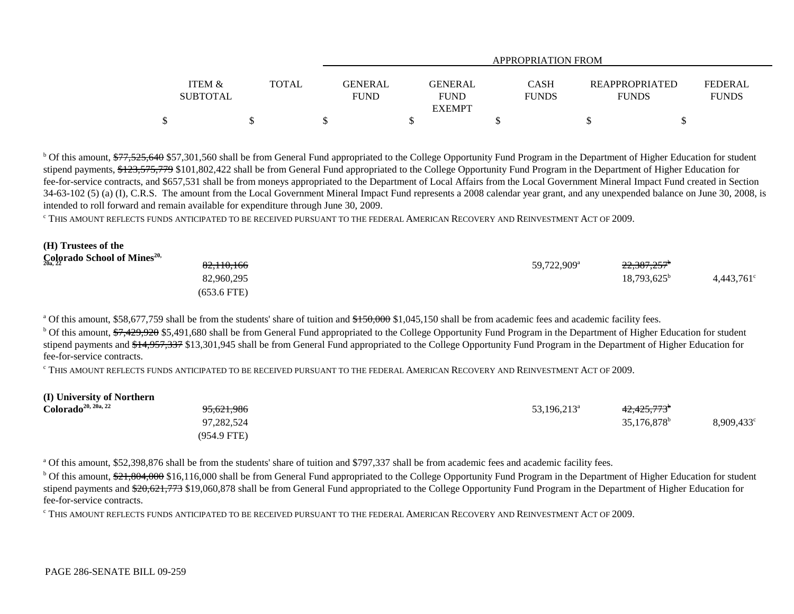|                   |       |                | APPROPRIATION FROM |              |                |                |  |  |  |  |
|-------------------|-------|----------------|--------------------|--------------|----------------|----------------|--|--|--|--|
|                   |       |                |                    |              |                |                |  |  |  |  |
| <b>ITEM &amp;</b> | TOTAL | <b>GENERAL</b> | GENERAL            | <b>CASH</b>  | REAPPROPRIATED | <b>FEDERAL</b> |  |  |  |  |
| <b>SUBTOTAL</b>   |       | <b>FUND</b>    | <b>FUND</b>        | <b>FUNDS</b> | <b>FUNDS</b>   | <b>FUNDS</b>   |  |  |  |  |
|                   |       |                | <b>EXEMPT</b>      |              |                |                |  |  |  |  |
|                   |       |                |                    |              |                |                |  |  |  |  |

<sup>b</sup> Of this amount, \$77,525,640 \$57,301,560 shall be from General Fund appropriated to the College Opportunity Fund Program in the Department of Higher Education for student stipend payments, \$123,575,779 \$101,802,422 shall be from General Fund appropriated to the College Opportunity Fund Program in the Department of Higher Education for fee-for-service contracts, and \$657,531 shall be from moneys appropriated to the Department of Local Affairs from the Local Government Mineral Impact Fund created in Section 34-63-102 (5) (a) (I), C.R.S. The amount from the Local Government Mineral Impact Fund represents a 2008 calendar year grant, and any unexpended balance on June 30, 2008, is intended to roll forward and remain available for expenditure through June 30, 2009.

c THIS AMOUNT REFLECTS FUNDS ANTICIPATED TO BE RECEIVED PURSUANT TO THE FEDERAL AMERICAN RECOVERY AND REINVESTMENT ACT OF 2009.

#### **(H) Trustees of the Colorado School of Mines20,**

| $\mathop{\mathrm{Col}}\nolimits_{20a,\,22}$ rado School of Mines $^{20,1}$ | 82,110,166    | 59,722,909 <sup>a</sup> | 22,387,257 <sup>b</sup> |                     |
|----------------------------------------------------------------------------|---------------|-------------------------|-------------------------|---------------------|
|                                                                            | 82,960,295    |                         | $18,793,625^{\circ}$    | $4,443,761^{\circ}$ |
|                                                                            | $(653.6$ FTE) |                         |                         |                     |

<sup>a</sup> Of this amount, \$58,677,759 shall be from the students' share of tuition and \$150,000 \$1,045,150 shall be from academic fees and academic facility fees.

<sup>b</sup> Of this amount, \$7,429,920 \$5,491,680 shall be from General Fund appropriated to the College Opportunity Fund Program in the Department of Higher Education for student stipend payments and \$14,957,337 \$13,301,945 shall be from General Fund appropriated to the College Opportunity Fund Program in the Department of Higher Education for fee-for-service contracts.

c THIS AMOUNT REFLECTS FUNDS ANTICIPATED TO BE RECEIVED PURSUANT TO THE FEDERAL AMERICAN RECOVERY AND REINVESTMENT ACT OF 2009.

| (I) University of Northern      |                       |                      |                                     |                     |
|---------------------------------|-----------------------|----------------------|-------------------------------------|---------------------|
| Colorado <sup>20, 20a, 22</sup> | <del>95,621,986</del> | $53,196,213^{\circ}$ | 4 <del>2,425,773</del> <sup>b</sup> |                     |
|                                 | 97.282.524            |                      | $35,176,878^b$                      | $8,909,433^{\circ}$ |
|                                 | $(954.9$ FTE)         |                      |                                     |                     |

<sup>a</sup> Of this amount, \$52,398,876 shall be from the students' share of tuition and \$797,337 shall be from academic fees and academic facility fees.

<sup>b</sup> Of this amount, \$21,804,000 \$16,116,000 shall be from General Fund appropriated to the College Opportunity Fund Program in the Department of Higher Education for student stipend payments and \$20,621,773 \$19,060,878 shall be from General Fund appropriated to the College Opportunity Fund Program in the Department of Higher Education for fee-for-service contracts.

c THIS AMOUNT REFLECTS FUNDS ANTICIPATED TO BE RECEIVED PURSUANT TO THE FEDERAL AMERICAN RECOVERY AND REINVESTMENT ACT OF 2009.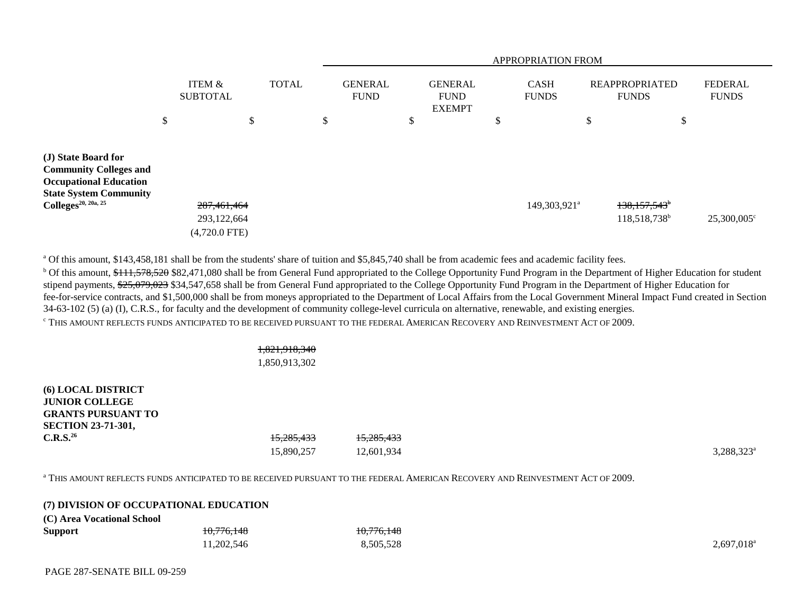|                                                                                                                                                           | APPROPRIATION FROM                              |              |    |                               |    |                                                |        |                             |                                                        |                                |
|-----------------------------------------------------------------------------------------------------------------------------------------------------------|-------------------------------------------------|--------------|----|-------------------------------|----|------------------------------------------------|--------|-----------------------------|--------------------------------------------------------|--------------------------------|
|                                                                                                                                                           | ITEM &<br><b>SUBTOTAL</b>                       | <b>TOTAL</b> |    | <b>GENERAL</b><br><b>FUND</b> |    | <b>GENERAL</b><br><b>FUND</b><br><b>EXEMPT</b> |        | <b>CASH</b><br><b>FUNDS</b> | <b>REAPPROPRIATED</b><br><b>FUNDS</b>                  | <b>FEDERAL</b><br><b>FUNDS</b> |
|                                                                                                                                                           | \$<br>\$                                        |              | \$ |                               | \$ |                                                | ₫<br>Ф |                             | \$<br>\$                                               |                                |
| (J) State Board for<br><b>Community Colleges and</b><br><b>Occupational Education</b><br><b>State System Community</b><br>$\text{Colleges}^{20, 20a, 25}$ | 287, 461, 464<br>293,122,664<br>$(4,720.0$ FTE) |              |    |                               |    |                                                |        | 149,303,921 <sup>a</sup>    | $138,157,543$ <sup>b</sup><br>118,518,738 <sup>b</sup> | 25,300,005°                    |

<sup>a</sup> Of this amount, \$143,458,181 shall be from the students' share of tuition and \$5,845,740 shall be from academic fees and academic facility fees.

<sup>b</sup> Of this amount, \$111,578,520 \$82,471,080 shall be from General Fund appropriated to the College Opportunity Fund Program in the Department of Higher Education for student stipend payments, \$25,079,023 \$34,547,658 shall be from General Fund appropriated to the College Opportunity Fund Program in the Department of Higher Education for fee-for-service contracts, and \$1,500,000 shall be from moneys appropriated to the Department of Local Affairs from the Local Government Mineral Impact Fund created in Section 34-63-102 (5) (a) (I), C.R.S., for faculty and the development of community college-level curricula on alternative, renewable, and existing energies. c THIS AMOUNT REFLECTS FUNDS ANTICIPATED TO BE RECEIVED PURSUANT TO THE FEDERAL AMERICAN RECOVERY AND REINVESTMENT ACT OF 2009.

# 1,821,918,340

## 1,850,913,302

**(6) LOCAL DISTRICT JUNIOR COLLEGEGRANTS PURSUANT TOSECTION 23-71-301, C.R.S.<sup>26</sup>** 15,285,433 15,285,433  $15,890,257$   $12,601,934$   $3,288,323^4$ 

a THIS AMOUNT REFLECTS FUNDS ANTICIPATED TO BE RECEIVED PURSUANT TO THE FEDERAL AMERICAN RECOVERY AND REINVESTMENT ACT OF 2009.

|                            | (7) DIVISION OF OCCUPATIONAL EDUCATION |            |           |
|----------------------------|----------------------------------------|------------|-----------|
| (C) Area Vocational School |                                        |            |           |
| <b>Support</b>             | <del>10,776,148</del>                  | 10,776,148 |           |
|                            | 11,202,546                             | 8,505,528  | 2,697,018 |